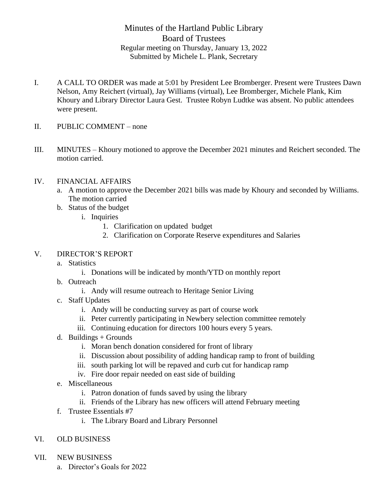## Minutes of the Hartland Public Library Board of Trustees Regular meeting on Thursday, January 13, 2022 Submitted by Michele L. Plank, Secretary

- I. A CALL TO ORDER was made at 5:01 by President Lee Bromberger. Present were Trustees Dawn Nelson, Amy Reichert (virtual), Jay Williams (virtual), Lee Bromberger, Michele Plank, Kim Khoury and Library Director Laura Gest. Trustee Robyn Ludtke was absent. No public attendees were present.
- II. PUBLIC COMMENT none
- III. MINUTES Khoury motioned to approve the December 2021 minutes and Reichert seconded. The motion carried.

## IV. FINANCIAL AFFAIRS

- a. A motion to approve the December 2021 bills was made by Khoury and seconded by Williams. The motion carried
- b. Status of the budget
	- i. Inquiries
		- 1. Clarification on updated budget
		- 2. Clarification on Corporate Reserve expenditures and Salaries

## V. DIRECTOR'S REPORT

- a. Statistics
	- i. Donations will be indicated by month/YTD on monthly report
- b. Outreach
	- i. Andy will resume outreach to Heritage Senior Living
- c. Staff Updates
	- i. Andy will be conducting survey as part of course work
	- ii. Peter currently participating in Newbery selection committee remotely
	- iii. Continuing education for directors 100 hours every 5 years.
- d. Buildings  $+$  Grounds
	- i. Moran bench donation considered for front of library
	- ii. Discussion about possibility of adding handicap ramp to front of building
	- iii. south parking lot will be repaved and curb cut for handicap ramp
	- iv. Fire door repair needed on east side of building
- e. Miscellaneous
	- i. Patron donation of funds saved by using the library
	- ii. Friends of the Library has new officers will attend February meeting
- f. Trustee Essentials #7
	- i. The Library Board and Library Personnel
- VI. OLD BUSINESS
- VII. NEW BUSINESS
	- a. Director's Goals for 2022